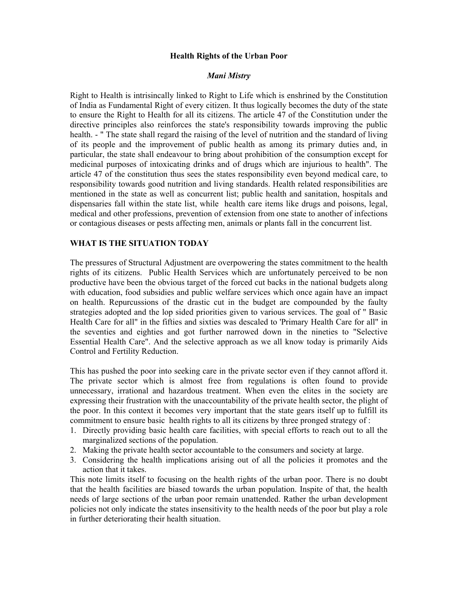#### **Health Rights of the Urban Poor**

#### *Mani Mistry*

Right to Health is intrisincally linked to Right to Life which is enshrined by the Constitution of India as Fundamental Right of every citizen. It thus logically becomes the duty of the state to ensure the Right to Health for all its citizens. The article 47 of the Constitution under the directive principles also reinforces the state's responsibility towards improving the public health. - " The state shall regard the raising of the level of nutrition and the standard of living of its people and the improvement of public health as among its primary duties and, in particular, the state shall endeavour to bring about prohibition of the consumption except for medicinal purposes of intoxicating drinks and of drugs which are injurious to health". The article 47 of the constitution thus sees the states responsibility even beyond medical care, to responsibility towards good nutrition and living standards. Health related responsibilities are mentioned in the state as well as concurrent list; public health and sanitation, hospitals and dispensaries fall within the state list, while health care items like drugs and poisons, legal, medical and other professions, prevention of extension from one state to another of infections or contagious diseases or pests affecting men, animals or plants fall in the concurrent list.

#### **WHAT IS THE SITUATION TODAY**

The pressures of Structural Adjustment are overpowering the states commitment to the health rights of its citizens. Public Health Services which are unfortunately perceived to be non productive have been the obvious target of the forced cut backs in the national budgets along with education, food subsidies and public welfare services which once again have an impact on health. Repurcussions of the drastic cut in the budget are compounded by the faulty strategies adopted and the lop sided priorities given to various services. The goal of " Basic Health Care for all" in the fifties and sixties was descaled to 'Primary Health Care for all" in the seventies and eighties and got further narrowed down in the nineties to "Selective Essential Health Care". And the selective approach as we all know today is primarily Aids Control and Fertility Reduction.

This has pushed the poor into seeking care in the private sector even if they cannot afford it. The private sector which is almost free from regulations is often found to provide unnecessary, irrational and hazardous treatment. When even the elites in the society are expressing their frustration with the unaccountability of the private health sector, the plight of the poor. In this context it becomes very important that the state gears itself up to fulfill its commitment to ensure basic health rights to all its citizens by three pronged strategy of :

- 1. Directly providing basic health care facilities, with special efforts to reach out to all the marginalized sections of the population.
- 2. Making the private health sector accountable to the consumers and society at large.
- 3. Considering the health implications arising out of all the policies it promotes and the action that it takes.

This note limits itself to focusing on the health rights of the urban poor. There is no doubt that the health facilities are biased towards the urban population. Inspite of that, the health needs of large sections of the urban poor remain unattended. Rather the urban development policies not only indicate the states insensitivity to the health needs of the poor but play a role in further deteriorating their health situation.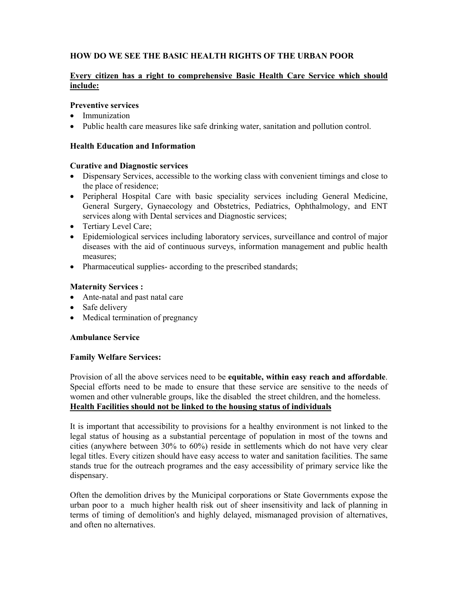# **HOW DO WE SEE THE BASIC HEALTH RIGHTS OF THE URBAN POOR**

# **Every citizen has a right to comprehensive Basic Health Care Service which should include:**

### **Preventive services**

- Immunization
- Public health care measures like safe drinking water, sanitation and pollution control.

## **Health Education and Information**

### **Curative and Diagnostic services**

- Dispensary Services, accessible to the working class with convenient timings and close to the place of residence;
- Peripheral Hospital Care with basic speciality services including General Medicine, General Surgery, Gynaecology and Obstetrics, Pediatrics, Ophthalmology, and ENT services along with Dental services and Diagnostic services;
- Tertiary Level Care;
- Epidemiological services including laboratory services, surveillance and control of major diseases with the aid of continuous surveys, information management and public health measures;
- Pharmaceutical supplies- according to the prescribed standards;

## **Maternity Services :**

- Ante-natal and past natal care
- Safe delivery
- Medical termination of pregnancy

## **Ambulance Service**

#### **Family Welfare Services:**

Provision of all the above services need to be **equitable, within easy reach and affordable**. Special efforts need to be made to ensure that these service are sensitive to the needs of women and other vulnerable groups, like the disabled the street children, and the homeless. **Health Facilities should not be linked to the housing status of individuals**

It is important that accessibility to provisions for a healthy environment is not linked to the legal status of housing as a substantial percentage of population in most of the towns and cities (anywhere between 30% to 60%) reside in settlements which do not have very clear legal titles. Every citizen should have easy access to water and sanitation facilities. The same stands true for the outreach programes and the easy accessibility of primary service like the dispensary.

Often the demolition drives by the Municipal corporations or State Governments expose the urban poor to a much higher health risk out of sheer insensitivity and lack of planning in terms of timing of demolition's and highly delayed, mismanaged provision of alternatives, and often no alternatives.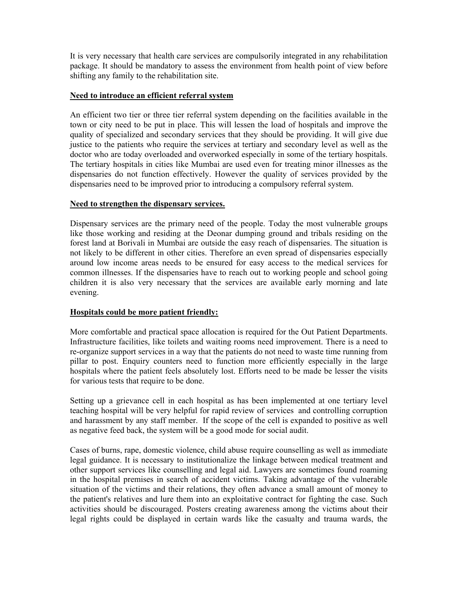It is very necessary that health care services are compulsorily integrated in any rehabilitation package. It should be mandatory to assess the environment from health point of view before shifting any family to the rehabilitation site.

### **Need to introduce an efficient referral system**

An efficient two tier or three tier referral system depending on the facilities available in the town or city need to be put in place. This will lessen the load of hospitals and improve the quality of specialized and secondary services that they should be providing. It will give due justice to the patients who require the services at tertiary and secondary level as well as the doctor who are today overloaded and overworked especially in some of the tertiary hospitals. The tertiary hospitals in cities like Mumbai are used even for treating minor illnesses as the dispensaries do not function effectively. However the quality of services provided by the dispensaries need to be improved prior to introducing a compulsory referral system.

### **Need to strengthen the dispensary services.**

Dispensary services are the primary need of the people. Today the most vulnerable groups like those working and residing at the Deonar dumping ground and tribals residing on the forest land at Borivali in Mumbai are outside the easy reach of dispensaries. The situation is not likely to be different in other cities. Therefore an even spread of dispensaries especially around low income areas needs to be ensured for easy access to the medical services for common illnesses. If the dispensaries have to reach out to working people and school going children it is also very necessary that the services are available early morning and late evening.

## **Hospitals could be more patient friendly:**

More comfortable and practical space allocation is required for the Out Patient Departments. Infrastructure facilities, like toilets and waiting rooms need improvement. There is a need to re-organize support services in a way that the patients do not need to waste time running from pillar to post. Enquiry counters need to function more efficiently especially in the large hospitals where the patient feels absolutely lost. Efforts need to be made be lesser the visits for various tests that require to be done.

Setting up a grievance cell in each hospital as has been implemented at one tertiary level teaching hospital will be very helpful for rapid review of services and controlling corruption and harassment by any staff member. If the scope of the cell is expanded to positive as well as negative feed back, the system will be a good mode for social audit.

Cases of burns, rape, domestic violence, child abuse require counselling as well as immediate legal guidance. It is necessary to institutionalize the linkage between medical treatment and other support services like counselling and legal aid. Lawyers are sometimes found roaming in the hospital premises in search of accident victims. Taking advantage of the vulnerable situation of the victims and their relations, they often advance a small amount of money to the patient's relatives and lure them into an exploitative contract for fighting the case. Such activities should be discouraged. Posters creating awareness among the victims about their legal rights could be displayed in certain wards like the casualty and trauma wards, the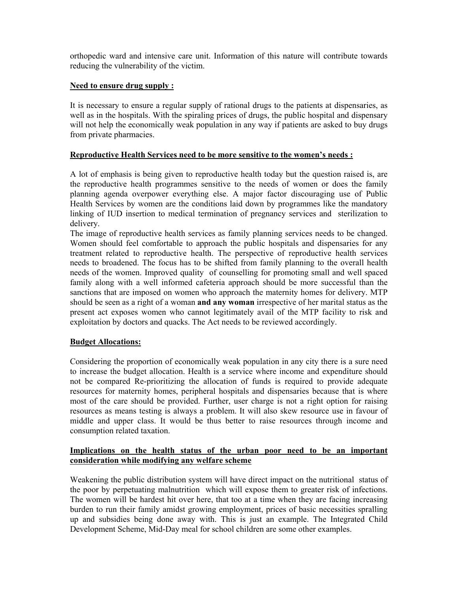orthopedic ward and intensive care unit. Information of this nature will contribute towards reducing the vulnerability of the victim.

## **Need to ensure drug supply :**

It is necessary to ensure a regular supply of rational drugs to the patients at dispensaries, as well as in the hospitals. With the spiraling prices of drugs, the public hospital and dispensary will not help the economically weak population in any way if patients are asked to buy drugs from private pharmacies.

## **Reproductive Health Services need to be more sensitive to the women's needs :**

A lot of emphasis is being given to reproductive health today but the question raised is, are the reproductive health programmes sensitive to the needs of women or does the family planning agenda overpower everything else. A major factor discouraging use of Public Health Services by women are the conditions laid down by programmes like the mandatory linking of IUD insertion to medical termination of pregnancy services and sterilization to delivery.

The image of reproductive health services as family planning services needs to be changed. Women should feel comfortable to approach the public hospitals and dispensaries for any treatment related to reproductive health. The perspective of reproductive health services needs to broadened. The focus has to be shifted from family planning to the overall health needs of the women. Improved quality of counselling for promoting small and well spaced family along with a well informed cafeteria approach should be more successful than the sanctions that are imposed on women who approach the maternity homes for delivery. MTP should be seen as a right of a woman **and any woman** irrespective of her marital status as the present act exposes women who cannot legitimately avail of the MTP facility to risk and exploitation by doctors and quacks. The Act needs to be reviewed accordingly.

## **Budget Allocations:**

Considering the proportion of economically weak population in any city there is a sure need to increase the budget allocation. Health is a service where income and expenditure should not be compared Re-prioritizing the allocation of funds is required to provide adequate resources for maternity homes, peripheral hospitals and dispensaries because that is where most of the care should be provided. Further, user charge is not a right option for raising resources as means testing is always a problem. It will also skew resource use in favour of middle and upper class. It would be thus better to raise resources through income and consumption related taxation.

## **Implications on the health status of the urban poor need to be an important consideration while modifying any welfare scheme**

Weakening the public distribution system will have direct impact on the nutritional status of the poor by perpetuating malnutrition which will expose them to greater risk of infections. The women will be hardest hit over here, that too at a time when they are facing increasing burden to run their family amidst growing employment, prices of basic necessities spralling up and subsidies being done away with. This is just an example. The Integrated Child Development Scheme, Mid-Day meal for school children are some other examples.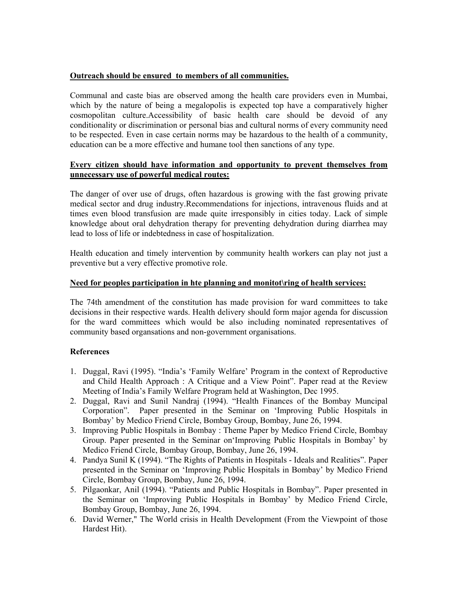# **Outreach should be ensured to members of all communities.**

Communal and caste bias are observed among the health care providers even in Mumbai, which by the nature of being a megalopolis is expected top have a comparatively higher cosmopolitan culture.Accessibility of basic health care should be devoid of any conditionality or discrimination or personal bias and cultural norms of every community need to be respected. Even in case certain norms may be hazardous to the health of a community, education can be a more effective and humane tool then sanctions of any type.

### **Every citizen should have information and opportunity to prevent themselves from unnecessary use of powerful medical routes:**

The danger of over use of drugs, often hazardous is growing with the fast growing private medical sector and drug industry.Recommendations for injections, intravenous fluids and at times even blood transfusion are made quite irresponsibly in cities today. Lack of simple knowledge about oral dehydration therapy for preventing dehydration during diarrhea may lead to loss of life or indebtedness in case of hospitalization.

Health education and timely intervention by community health workers can play not just a preventive but a very effective promotive role.

## **Need for peoples participation in hte planning and monitot\ring of health services:**

The 74th amendment of the constitution has made provision for ward committees to take decisions in their respective wards. Health delivery should form major agenda for discussion for the ward committees which would be also including nominated representatives of community based organsations and non-government organisations.

## **References**

- 1. Duggal, Ravi (1995). "India's 'Family Welfare' Program in the context of Reproductive and Child Health Approach : A Critique and a View Point". Paper read at the Review Meeting of India's Family Welfare Program held at Washington, Dec 1995.
- 2. Duggal, Ravi and Sunil Nandraj (1994). "Health Finances of the Bombay Muncipal Corporation". Paper presented in the Seminar on 'Improving Public Hospitals in Bombay' by Medico Friend Circle, Bombay Group, Bombay, June 26, 1994.
- 3. Improving Public Hospitals in Bombay : Theme Paper by Medico Friend Circle, Bombay Group. Paper presented in the Seminar on'Improving Public Hospitals in Bombay' by Medico Friend Circle, Bombay Group, Bombay, June 26, 1994.
- 4. Pandya Sunil K (1994). "The Rights of Patients in Hospitals Ideals and Realities". Paper presented in the Seminar on 'Improving Public Hospitals in Bombay' by Medico Friend Circle, Bombay Group, Bombay, June 26, 1994.
- 5. Pilgaonkar, Anil (1994). "Patients and Public Hospitals in Bombay". Paper presented in the Seminar on 'Improving Public Hospitals in Bombay' by Medico Friend Circle, Bombay Group, Bombay, June 26, 1994.
- 6. David Werner," The World crisis in Health Development (From the Viewpoint of those Hardest Hit).